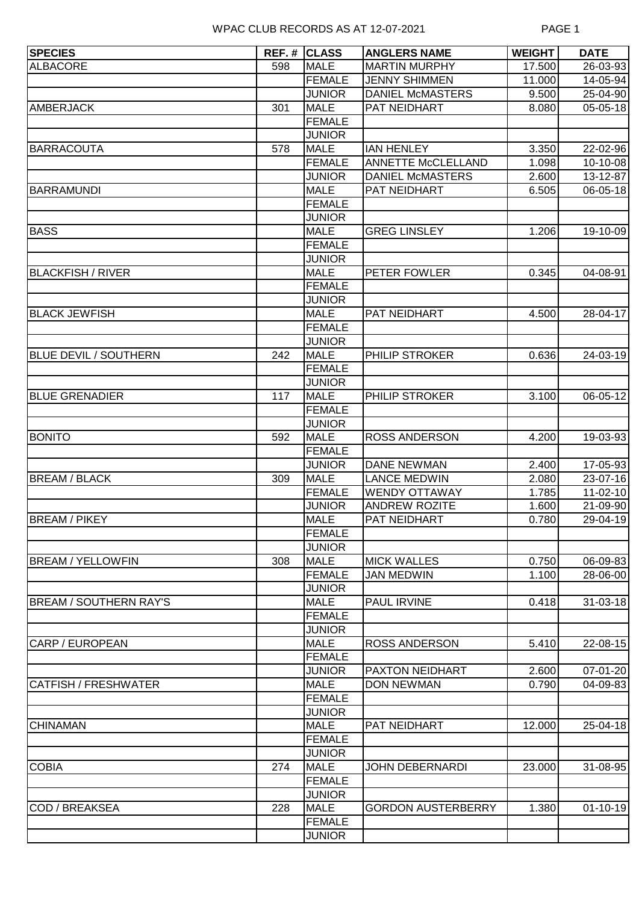| <b>SPECIES</b>                |     | <b>REF. # CLASS</b>          | <b>ANGLERS NAME</b>       | <b>WEIGHT</b> | <b>DATE</b>    |
|-------------------------------|-----|------------------------------|---------------------------|---------------|----------------|
| <b>ALBACORE</b>               | 598 | <b>MALE</b>                  | <b>MARTIN MURPHY</b>      | 17.500        | 26-03-93       |
|                               |     | <b>FEMALE</b>                | <b>JENNY SHIMMEN</b>      | 11.000        | 14-05-94       |
|                               |     | <b>JUNIOR</b>                | <b>DANIEL McMASTERS</b>   | 9.500         | 25-04-90       |
| <b>AMBERJACK</b>              | 301 | <b>MALE</b>                  | PAT NEIDHART              | 8.080         | $05 - 05 - 18$ |
|                               |     | <b>FEMALE</b>                |                           |               |                |
|                               |     | <b>JUNIOR</b>                |                           |               |                |
| <b>BARRACOUTA</b>             | 578 | <b>MALE</b>                  | <b>IAN HENLEY</b>         | 3.350         | 22-02-96       |
|                               |     | <b>FEMALE</b>                | <b>ANNETTE McCLELLAND</b> | 1.098         | 10-10-08       |
|                               |     | <b>JUNIOR</b>                | <b>DANIEL McMASTERS</b>   | 2.600         | 13-12-87       |
| <b>BARRAMUNDI</b>             |     | <b>MALE</b>                  | PAT NEIDHART              | 6.505         | 06-05-18       |
|                               |     | <b>FEMALE</b>                |                           |               |                |
|                               |     | <b>JUNIOR</b>                |                           |               |                |
| <b>BASS</b>                   |     | <b>MALE</b>                  | <b>GREG LINSLEY</b>       | 1.206         | 19-10-09       |
|                               |     | <b>FEMALE</b>                |                           |               |                |
|                               |     | <b>JUNIOR</b>                |                           |               |                |
| <b>BLACKFISH / RIVER</b>      |     | <b>MALE</b>                  | PETER FOWLER              | 0.345         | 04-08-91       |
|                               |     | <b>FEMALE</b>                |                           |               |                |
| <b>BLACK JEWFISH</b>          |     | <b>JUNIOR</b><br><b>MALE</b> | PAT NEIDHART              | 4.500         |                |
|                               |     | <b>FEMALE</b>                |                           |               | 28-04-17       |
|                               |     | <b>JUNIOR</b>                |                           |               |                |
| <b>BLUE DEVIL / SOUTHERN</b>  | 242 | <b>MALE</b>                  | PHILIP STROKER            | 0.636         | 24-03-19       |
|                               |     | <b>FEMALE</b>                |                           |               |                |
|                               |     | <b>JUNIOR</b>                |                           |               |                |
| <b>BLUE GRENADIER</b>         | 117 | <b>MALE</b>                  | PHILIP STROKER            | 3.100         | 06-05-12       |
|                               |     | <b>FEMALE</b>                |                           |               |                |
|                               |     | <b>JUNIOR</b>                |                           |               |                |
| <b>BONITO</b>                 | 592 | <b>MALE</b>                  | <b>ROSS ANDERSON</b>      | 4.200         | 19-03-93       |
|                               |     | <b>FEMALE</b>                |                           |               |                |
|                               |     | <b>JUNIOR</b>                | <b>DANE NEWMAN</b>        | 2.400         | 17-05-93       |
| <b>BREAM / BLACK</b>          | 309 | <b>MALE</b>                  | <b>LANCE MEDWIN</b>       | 2.080         | 23-07-16       |
|                               |     | <b>FEMALE</b>                | <b>WENDY OTTAWAY</b>      | 1.785         | $11 - 02 - 10$ |
|                               |     | <b>JUNIOR</b>                | <b>ANDREW ROZITE</b>      | 1.600         | 21-09-90       |
| <b>BREAM / PIKEY</b>          |     | <b>MALE</b>                  | PAT NEIDHART              | 0.780         | 29-04-19       |
|                               |     | <b>FEMALE</b>                |                           |               |                |
|                               |     | <b>JUNIOR</b>                |                           |               |                |
| <b>BREAM / YELLOWFIN</b>      | 308 | <b>MALE</b>                  | <b>MICK WALLES</b>        | 0.750         | 06-09-83       |
|                               |     | <b>FEMALE</b>                | <b>JAN MEDWIN</b>         | 1.100         | 28-06-00       |
|                               |     | <b>JUNIOR</b>                |                           |               |                |
| <b>BREAM / SOUTHERN RAY'S</b> |     | <b>MALE</b>                  | PAUL IRVINE               | 0.418         | $31 - 03 - 18$ |
|                               |     | <b>FEMALE</b>                |                           |               |                |
|                               |     | <b>JUNIOR</b>                |                           |               |                |
| CARP / EUROPEAN               |     | <b>MALE</b>                  | <b>ROSS ANDERSON</b>      | 5.410         | 22-08-15       |
|                               |     | <b>FEMALE</b>                |                           |               |                |
|                               |     | <b>JUNIOR</b>                | PAXTON NEIDHART           | 2.600         | $07 - 01 - 20$ |
| <b>CATFISH / FRESHWATER</b>   |     | <b>MALE</b>                  | <b>DON NEWMAN</b>         | 0.790         | 04-09-83       |
|                               |     | <b>FEMALE</b>                |                           |               |                |
| <b>CHINAMAN</b>               |     | <b>JUNIOR</b>                |                           |               |                |
|                               |     | <b>MALE</b><br><b>FEMALE</b> | PAT NEIDHART              | 12.000        | 25-04-18       |
|                               |     | <b>JUNIOR</b>                |                           |               |                |
|                               | 274 | <b>MALE</b>                  | <b>JOHN DEBERNARDI</b>    | 23.000        | 31-08-95       |
| <b>COBIA</b>                  |     | <b>FEMALE</b>                |                           |               |                |
|                               |     | <b>JUNIOR</b>                |                           |               |                |
| COD / BREAKSEA                | 228 | <b>MALE</b>                  | <b>GORDON AUSTERBERRY</b> | 1.380         | $01 - 10 - 19$ |
|                               |     | <b>FEMALE</b>                |                           |               |                |
|                               |     | <b>JUNIOR</b>                |                           |               |                |
|                               |     |                              |                           |               |                |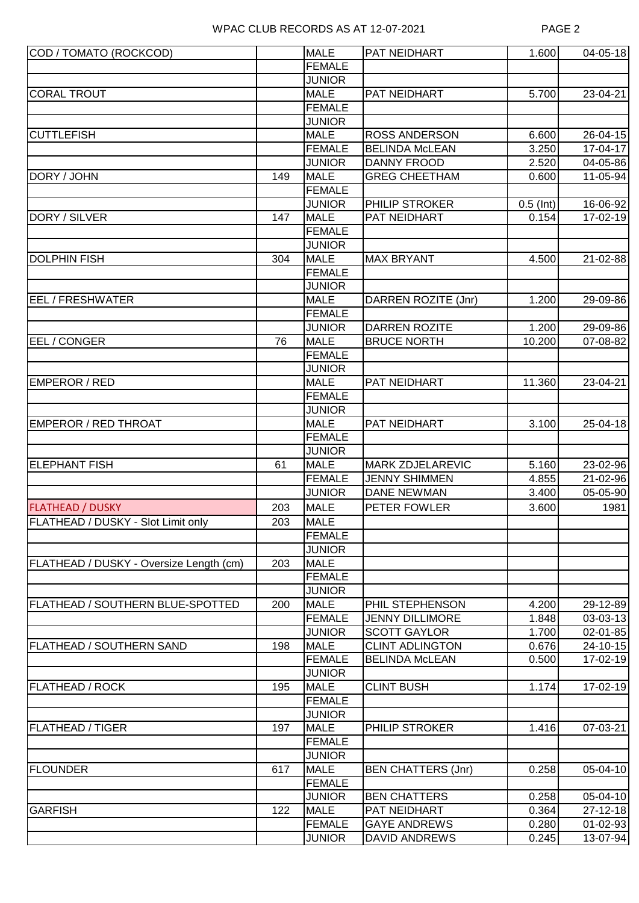| COD / TOMATO (ROCKCOD)                  |     | <b>MALE</b>   | <b>PAT NEIDHART</b>       | 1.600       | $04 - 05 - 18$ |
|-----------------------------------------|-----|---------------|---------------------------|-------------|----------------|
|                                         |     | <b>FEMALE</b> |                           |             |                |
|                                         |     | <b>JUNIOR</b> |                           |             |                |
| <b>CORAL TROUT</b>                      |     | <b>MALE</b>   | PAT NEIDHART              | 5.700       | 23-04-21       |
|                                         |     | <b>FEMALE</b> |                           |             |                |
|                                         |     | <b>JUNIOR</b> |                           |             |                |
| <b>CUTTLEFISH</b>                       |     | <b>MALE</b>   | <b>ROSS ANDERSON</b>      | 6.600       | 26-04-15       |
|                                         |     | <b>FEMALE</b> | <b>BELINDA McLEAN</b>     | 3.250       | 17-04-17       |
|                                         |     | <b>JUNIOR</b> | <b>DANNY FROOD</b>        | 2.520       | 04-05-86       |
| DORY / JOHN                             | 149 | <b>MALE</b>   | <b>GREG CHEETHAM</b>      | 0.600       | 11-05-94       |
|                                         |     | <b>FEMALE</b> |                           |             |                |
|                                         |     | <b>JUNIOR</b> | PHILIP STROKER            | $0.5$ (Int) | 16-06-92       |
| DORY / SILVER                           | 147 | <b>MALE</b>   | PAT NEIDHART              | 0.154       | 17-02-19       |
|                                         |     | <b>FEMALE</b> |                           |             |                |
|                                         |     | <b>JUNIOR</b> |                           |             |                |
| <b>DOLPHIN FISH</b>                     | 304 | <b>MALE</b>   | <b>MAX BRYANT</b>         | 4.500       | 21-02-88       |
|                                         |     | <b>FEMALE</b> |                           |             |                |
|                                         |     | <b>JUNIOR</b> |                           |             |                |
| EEL / FRESHWATER                        |     | <b>MALE</b>   | DARREN ROZITE (Jnr)       | 1.200       | 29-09-86       |
|                                         |     | <b>FEMALE</b> |                           |             |                |
|                                         |     | <b>JUNIOR</b> | <b>DARREN ROZITE</b>      | 1.200       | 29-09-86       |
| EEL / CONGER                            | 76  | <b>MALE</b>   | <b>BRUCE NORTH</b>        | 10.200      | 07-08-82       |
|                                         |     | <b>FEMALE</b> |                           |             |                |
|                                         |     | <b>JUNIOR</b> |                           |             |                |
| <b>EMPEROR / RED</b>                    |     | <b>MALE</b>   | PAT NEIDHART              | 11.360      | 23-04-21       |
|                                         |     | <b>FEMALE</b> |                           |             |                |
|                                         |     | <b>JUNIOR</b> |                           |             |                |
| <b>EMPEROR / RED THROAT</b>             |     | <b>MALE</b>   | PAT NEIDHART              | 3.100       | 25-04-18       |
|                                         |     | <b>FEMALE</b> |                           |             |                |
|                                         |     | <b>JUNIOR</b> |                           |             |                |
| <b>ELEPHANT FISH</b>                    | 61  | <b>MALE</b>   | <b>MARK ZDJELAREVIC</b>   | 5.160       | 23-02-96       |
|                                         |     | <b>FEMALE</b> | <b>JENNY SHIMMEN</b>      | 4.855       | 21-02-96       |
|                                         |     | <b>JUNIOR</b> | <b>DANE NEWMAN</b>        | 3.400       | 05-05-90       |
| <b>FLATHEAD / DUSKY</b>                 | 203 | <b>MALE</b>   | PETER FOWLER              | 3.600       | 1981           |
| FLATHEAD / DUSKY - Slot Limit only      | 203 | <b>MALE</b>   |                           |             |                |
|                                         |     | <b>FEMALE</b> |                           |             |                |
|                                         |     | <b>JUNIOR</b> |                           |             |                |
| FLATHEAD / DUSKY - Oversize Length (cm) | 203 | <b>MALE</b>   |                           |             |                |
|                                         |     | <b>FEMALE</b> |                           |             |                |
|                                         |     | <b>JUNIOR</b> |                           |             |                |
| FLATHEAD / SOUTHERN BLUE-SPOTTED        | 200 | <b>MALE</b>   | PHIL STEPHENSON           | 4.200       | 29-12-89       |
|                                         |     | <b>FEMALE</b> | <b>JENNY DILLIMORE</b>    | 1.848       | $03 - 03 - 13$ |
|                                         |     | <b>JUNIOR</b> | <b>SCOTT GAYLOR</b>       | 1.700       | $02 - 01 - 85$ |
| <b>FLATHEAD / SOUTHERN SAND</b>         | 198 | <b>MALE</b>   | <b>CLINT ADLINGTON</b>    | 0.676       | 24-10-15       |
|                                         |     | <b>FEMALE</b> | <b>BELINDA McLEAN</b>     | 0.500       | 17-02-19       |
|                                         |     | <b>JUNIOR</b> |                           |             |                |
| <b>FLATHEAD / ROCK</b>                  | 195 | <b>MALE</b>   | <b>CLINT BUSH</b>         | 1.174       | 17-02-19       |
|                                         |     | <b>FEMALE</b> |                           |             |                |
|                                         |     | <b>JUNIOR</b> |                           |             |                |
| <b>FLATHEAD / TIGER</b>                 | 197 | <b>MALE</b>   | PHILIP STROKER            | 1.416       | 07-03-21       |
|                                         |     | <b>FEMALE</b> |                           |             |                |
|                                         |     | <b>JUNIOR</b> |                           |             |                |
| <b>FLOUNDER</b>                         | 617 | <b>MALE</b>   | <b>BEN CHATTERS (Jnr)</b> | 0.258       | 05-04-10       |
|                                         |     | <b>FEMALE</b> |                           |             |                |
|                                         |     | <b>JUNIOR</b> | <b>BEN CHATTERS</b>       | 0.258       | $05 - 04 - 10$ |
| <b>GARFISH</b>                          | 122 | <b>MALE</b>   | PAT NEIDHART              | 0.364       | $27 - 12 - 18$ |
|                                         |     | <b>FEMALE</b> | <b>GAYE ANDREWS</b>       | 0.280       | $01 - 02 - 93$ |
|                                         |     | <b>JUNIOR</b> | <b>DAVID ANDREWS</b>      | 0.245       | 13-07-94       |
|                                         |     |               |                           |             |                |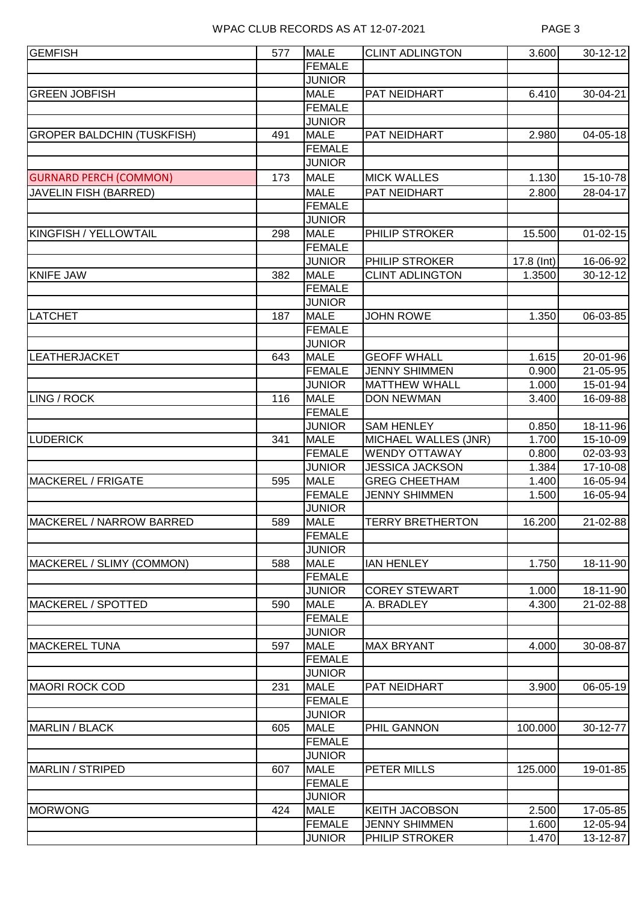| <b>GEMFISH</b>                    | 577 | <b>MALE</b>   | <b>CLINT ADLINGTON</b>  | 3.600      | $30 - 12 - 12$ |
|-----------------------------------|-----|---------------|-------------------------|------------|----------------|
|                                   |     | <b>FEMALE</b> |                         |            |                |
|                                   |     | <b>JUNIOR</b> |                         |            |                |
| <b>GREEN JOBFISH</b>              |     | <b>MALE</b>   | PAT NEIDHART            | 6.410      | 30-04-21       |
|                                   |     | <b>FEMALE</b> |                         |            |                |
|                                   |     | <b>JUNIOR</b> |                         |            |                |
| <b>GROPER BALDCHIN (TUSKFISH)</b> | 491 | <b>MALE</b>   | PAT NEIDHART            | 2.980      | 04-05-18       |
|                                   |     | <b>FEMALE</b> |                         |            |                |
|                                   |     | <b>JUNIOR</b> |                         |            |                |
| <b>GURNARD PERCH (COMMON)</b>     | 173 | <b>MALE</b>   | <b>MICK WALLES</b>      | 1.130      | 15-10-78       |
| <b>JAVELIN FISH (BARRED)</b>      |     | <b>MALE</b>   | PAT NEIDHART            | 2.800      | 28-04-17       |
|                                   |     | <b>FEMALE</b> |                         |            |                |
|                                   |     | <b>JUNIOR</b> |                         |            |                |
| <b>KINGFISH / YELLOWTAIL</b>      | 298 | <b>MALE</b>   | PHILIP STROKER          | 15.500     | $01 - 02 - 15$ |
|                                   |     | <b>FEMALE</b> |                         |            |                |
|                                   |     | <b>JUNIOR</b> | PHILIP STROKER          | 17.8 (Int) | 16-06-92       |
| <b>KNIFE JAW</b>                  | 382 | <b>MALE</b>   | <b>CLINT ADLINGTON</b>  | 1.3500     | $30 - 12 - 12$ |
|                                   |     | <b>FEMALE</b> |                         |            |                |
|                                   |     | <b>JUNIOR</b> |                         |            |                |
| <b>LATCHET</b>                    | 187 | <b>MALE</b>   | <b>JOHN ROWE</b>        | 1.350      | 06-03-85       |
|                                   |     | <b>FEMALE</b> |                         |            |                |
|                                   |     | <b>JUNIOR</b> |                         |            |                |
| LEATHERJACKET                     | 643 | <b>MALE</b>   | <b>GEOFF WHALL</b>      | 1.615      | 20-01-96       |
|                                   |     | <b>FEMALE</b> | <b>JENNY SHIMMEN</b>    | 0.900      | 21-05-95       |
|                                   |     | <b>JUNIOR</b> | <b>MATTHEW WHALL</b>    | 1.000      | 15-01-94       |
| LING / ROCK                       | 116 | <b>MALE</b>   | <b>DON NEWMAN</b>       | 3.400      | 16-09-88       |
|                                   |     | <b>FEMALE</b> |                         |            |                |
|                                   |     | <b>JUNIOR</b> | <b>SAM HENLEY</b>       | 0.850      | 18-11-96       |
| <b>LUDERICK</b>                   | 341 | <b>MALE</b>   | MICHAEL WALLES (JNR)    | 1.700      | 15-10-09       |
|                                   |     | <b>FEMALE</b> | <b>WENDY OTTAWAY</b>    | 0.800      | 02-03-93       |
|                                   |     | <b>JUNIOR</b> | <b>JESSICA JACKSON</b>  | 1.384      | 17-10-08       |
| MACKEREL / FRIGATE                | 595 | <b>MALE</b>   | <b>GREG CHEETHAM</b>    | 1.400      | 16-05-94       |
|                                   |     | FEMALE        | <b>JENNY SHIMMEN</b>    | 1.500      | 16-05-94       |
|                                   |     | <b>JUNIOR</b> |                         |            |                |
| MACKEREL / NARROW BARRED          | 589 | <b>MALE</b>   | <b>TERRY BRETHERTON</b> | 16.200     | 21-02-88       |
|                                   |     | <b>FEMALE</b> |                         |            |                |
|                                   |     | <b>JUNIOR</b> |                         |            |                |
| MACKEREL / SLIMY (COMMON)         | 588 | <b>MALE</b>   | <b>IAN HENLEY</b>       | 1.750      | 18-11-90       |
|                                   |     | <b>FEMALE</b> |                         |            |                |
|                                   |     | <b>JUNIOR</b> | <b>COREY STEWART</b>    | 1.000      | 18-11-90       |
| <b>MACKEREL / SPOTTED</b>         | 590 | <b>MALE</b>   | A. BRADLEY              | 4.300      | 21-02-88       |
|                                   |     | <b>FEMALE</b> |                         |            |                |
|                                   |     | <b>JUNIOR</b> |                         |            |                |
| <b>MACKEREL TUNA</b>              | 597 | <b>MALE</b>   | <b>MAX BRYANT</b>       | 4.000      | 30-08-87       |
|                                   |     | <b>FEMALE</b> |                         |            |                |
|                                   |     | <b>JUNIOR</b> |                         |            |                |
| <b>MAORI ROCK COD</b>             | 231 | <b>MALE</b>   | PAT NEIDHART            | 3.900      | 06-05-19       |
|                                   |     | <b>FEMALE</b> |                         |            |                |
|                                   |     | <b>JUNIOR</b> |                         |            |                |
| <b>MARLIN / BLACK</b>             | 605 | <b>MALE</b>   | PHIL GANNON             | 100.000    | 30-12-77       |
|                                   |     | <b>FEMALE</b> |                         |            |                |
|                                   |     | <b>JUNIOR</b> |                         |            |                |
| <b>MARLIN / STRIPED</b>           | 607 | <b>MALE</b>   | PETER MILLS             | 125.000    | 19-01-85       |
|                                   |     | <b>FEMALE</b> |                         |            |                |
|                                   |     | <b>JUNIOR</b> |                         |            |                |
| <b>MORWONG</b>                    | 424 | <b>MALE</b>   | <b>KEITH JACOBSON</b>   | 2.500      | 17-05-85       |
|                                   |     | <b>FEMALE</b> | <b>JENNY SHIMMEN</b>    | 1.600      | 12-05-94       |
|                                   |     | <b>JUNIOR</b> | PHILIP STROKER          | 1.470      | 13-12-87       |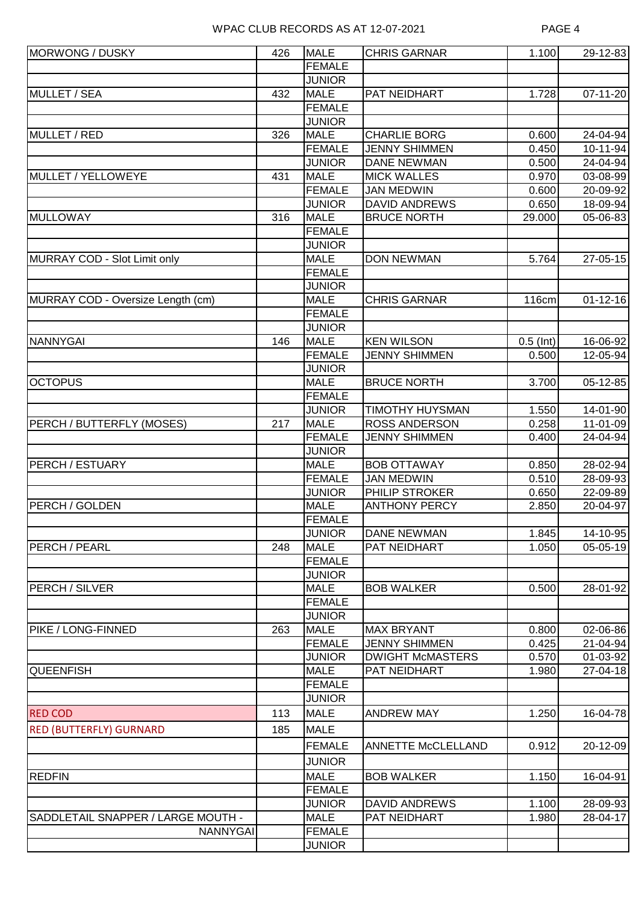| MORWONG / DUSKY                    | 426 | <b>MALE</b>   | <b>CHRIS GARNAR</b>       | 1.100        | 29-12-83       |
|------------------------------------|-----|---------------|---------------------------|--------------|----------------|
|                                    |     | <b>FEMALE</b> |                           |              |                |
|                                    |     | <b>JUNIOR</b> |                           |              |                |
| <b>MULLET / SEA</b>                | 432 | <b>MALE</b>   | PAT NEIDHART              | 1.728        | 07-11-20       |
|                                    |     | <b>FEMALE</b> |                           |              |                |
|                                    |     | <b>JUNIOR</b> |                           |              |                |
| MULLET / RED                       | 326 | <b>MALE</b>   | <b>CHARLIE BORG</b>       | 0.600        | 24-04-94       |
|                                    |     | <b>FEMALE</b> | <b>JENNY SHIMMEN</b>      | 0.450        | 10-11-94       |
|                                    |     | <b>JUNIOR</b> | <b>DANE NEWMAN</b>        | 0.500        | 24-04-94       |
| MULLET / YELLOWEYE                 | 431 | <b>MALE</b>   | <b>MICK WALLES</b>        | 0.970        | 03-08-99       |
|                                    |     | <b>FEMALE</b> | <b>JAN MEDWIN</b>         | 0.600        | 20-09-92       |
|                                    |     | <b>JUNIOR</b> | <b>DAVID ANDREWS</b>      | 0.650        | 18-09-94       |
| <b>MULLOWAY</b>                    | 316 | <b>MALE</b>   | <b>BRUCE NORTH</b>        | 29.000       | 05-06-83       |
|                                    |     | <b>FEMALE</b> |                           |              |                |
|                                    |     | <b>JUNIOR</b> |                           |              |                |
| MURRAY COD - Slot Limit only       |     | <b>MALE</b>   | <b>DON NEWMAN</b>         | 5.764        | 27-05-15       |
|                                    |     | <b>FEMALE</b> |                           |              |                |
|                                    |     | <b>JUNIOR</b> |                           |              |                |
| MURRAY COD - Oversize Length (cm)  |     | <b>MALE</b>   | <b>CHRIS GARNAR</b>       |              | $01 - 12 - 16$ |
|                                    |     |               |                           | <b>116cm</b> |                |
|                                    |     | <b>FEMALE</b> |                           |              |                |
|                                    |     | <b>JUNIOR</b> |                           |              |                |
| <b>NANNYGAI</b>                    | 146 | <b>MALE</b>   | <b>KEN WILSON</b>         | $0.5$ (Int)  | 16-06-92       |
|                                    |     | FEMALE        | <b>JENNY SHIMMEN</b>      | 0.500        | 12-05-94       |
|                                    |     | <b>JUNIOR</b> |                           |              |                |
| <b>OCTOPUS</b>                     |     | <b>MALE</b>   | <b>BRUCE NORTH</b>        | 3.700        | 05-12-85       |
|                                    |     | <b>FEMALE</b> |                           |              |                |
|                                    |     | <b>JUNIOR</b> | <b>TIMOTHY HUYSMAN</b>    | 1.550        | 14-01-90       |
| PERCH / BUTTERFLY (MOSES)          | 217 | <b>MALE</b>   | <b>ROSS ANDERSON</b>      | 0.258        | 11-01-09       |
|                                    |     | <b>FEMALE</b> | <b>JENNY SHIMMEN</b>      | 0.400        | 24-04-94       |
|                                    |     | <b>JUNIOR</b> |                           |              |                |
| PERCH / ESTUARY                    |     | <b>MALE</b>   | <b>BOB OTTAWAY</b>        | 0.850        | 28-02-94       |
|                                    |     | <b>FEMALE</b> | <b>JAN MEDWIN</b>         | 0.510        | 28-09-93       |
|                                    |     | <b>JUNIOR</b> | PHILIP STROKER            | 0.650        | $22 - 09 - 89$ |
| PERCH / GOLDEN                     |     | <b>MALE</b>   | <b>ANTHONY PERCY</b>      | 2.850        | 20-04-97       |
|                                    |     | FEMALE        |                           |              |                |
|                                    |     | <b>JUNIOR</b> | <b>DANE NEWMAN</b>        | 1.845        | 14-10-95       |
| PERCH / PEARL                      | 248 | <b>MALE</b>   | PAT NEIDHART              | 1.050        | $05 - 05 - 19$ |
|                                    |     | FEMALE        |                           |              |                |
|                                    |     | <b>JUNIOR</b> |                           |              |                |
| PERCH / SILVER                     |     | <b>MALE</b>   | <b>BOB WALKER</b>         | 0.500        | 28-01-92       |
|                                    |     | FEMALE        |                           |              |                |
|                                    |     | <b>JUNIOR</b> |                           |              |                |
| PIKE / LONG-FINNED                 | 263 | <b>MALE</b>   | <b>MAX BRYANT</b>         | 0.800        | 02-06-86       |
|                                    |     | <b>FEMALE</b> | <b>JENNY SHIMMEN</b>      | 0.425        | 21-04-94       |
|                                    |     | <b>JUNIOR</b> | <b>DWIGHT McMASTERS</b>   | 0.570        | 01-03-92       |
| <b>QUEENFISH</b>                   |     | <b>MALE</b>   | PAT NEIDHART              | 1.980        | 27-04-18       |
|                                    |     | <b>FEMALE</b> |                           |              |                |
|                                    |     | <b>JUNIOR</b> |                           |              |                |
| <b>RED COD</b>                     | 113 | <b>MALE</b>   | <b>ANDREW MAY</b>         | 1.250        | 16-04-78       |
| <b>RED (BUTTERFLY) GURNARD</b>     | 185 | <b>MALE</b>   |                           |              |                |
|                                    |     |               |                           |              |                |
|                                    |     | <b>FEMALE</b> | <b>ANNETTE McCLELLAND</b> | 0.912        | 20-12-09       |
|                                    |     | <b>JUNIOR</b> |                           |              |                |
| <b>REDFIN</b>                      |     | <b>MALE</b>   | <b>BOB WALKER</b>         | 1.150        | 16-04-91       |
|                                    |     | FEMALE        |                           |              |                |
|                                    |     | <b>JUNIOR</b> | <b>DAVID ANDREWS</b>      | 1.100        | 28-09-93       |
| SADDLETAIL SNAPPER / LARGE MOUTH - |     | <b>MALE</b>   | PAT NEIDHART              | 1.980        | 28-04-17       |
| <b>NANNYGAI</b>                    |     | <b>FEMALE</b> |                           |              |                |
|                                    |     | <b>JUNIOR</b> |                           |              |                |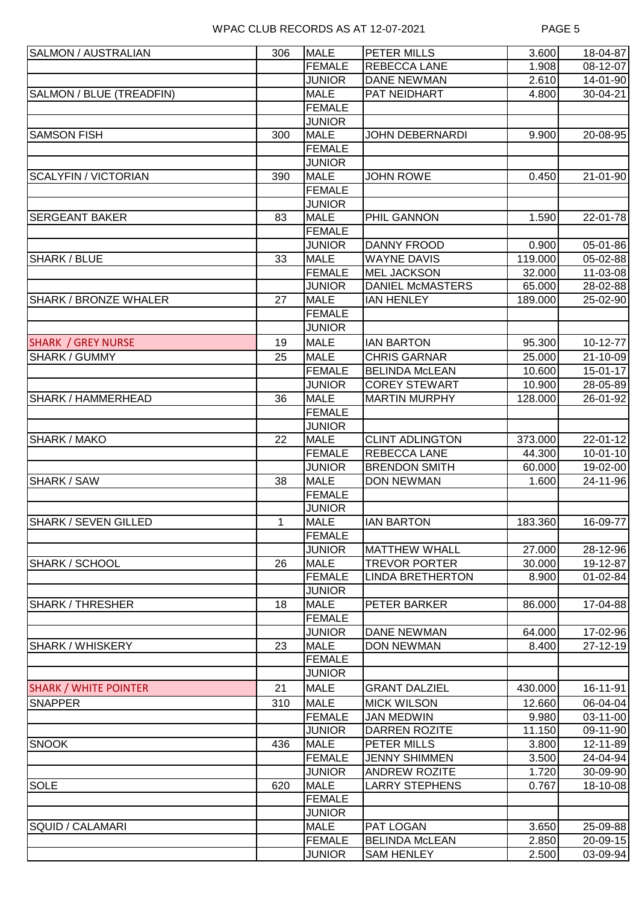| SALMON / AUSTRALIAN          | 306 | <b>MALE</b>                    | PETER MILLS                        | 3.600          | 18-04-87       |
|------------------------------|-----|--------------------------------|------------------------------------|----------------|----------------|
|                              |     | <b>FEMALE</b>                  | <b>REBECCA LANE</b>                | 1.908          | 08-12-07       |
|                              |     | <b>JUNIOR</b>                  | <b>DANE NEWMAN</b>                 | 2.610          | 14-01-90       |
| SALMON / BLUE (TREADFIN)     |     | <b>MALE</b>                    | PAT NEIDHART                       | 4.800          | 30-04-21       |
|                              |     | <b>FEMALE</b>                  |                                    |                |                |
|                              |     | <b>JUNIOR</b>                  |                                    |                |                |
| <b>SAMSON FISH</b>           | 300 | <b>MALE</b>                    | <b>JOHN DEBERNARDI</b>             | 9.900          | 20-08-95       |
|                              |     | <b>FEMALE</b>                  |                                    |                |                |
|                              |     | <b>JUNIOR</b>                  |                                    |                |                |
| <b>SCALYFIN / VICTORIAN</b>  | 390 | <b>MALE</b>                    | <b>JOHN ROWE</b>                   | 0.450          | 21-01-90       |
|                              |     | <b>FEMALE</b>                  |                                    |                |                |
|                              |     | <b>JUNIOR</b>                  |                                    |                |                |
| <b>SERGEANT BAKER</b>        | 83  | <b>MALE</b>                    | PHIL GANNON                        | 1.590          | 22-01-78       |
|                              |     | <b>FEMALE</b>                  |                                    |                |                |
|                              |     | <b>JUNIOR</b>                  | <b>DANNY FROOD</b>                 | 0.900          | 05-01-86       |
| SHARK / BLUE                 | 33  | <b>MALE</b>                    | <b>WAYNE DAVIS</b>                 | 119.000        | 05-02-88       |
|                              |     | <b>FEMALE</b>                  | <b>MEL JACKSON</b>                 | 32.000         | 11-03-08       |
|                              |     | <b>JUNIOR</b>                  | <b>DANIEL McMASTERS</b>            | 65.000         | 28-02-88       |
| <b>SHARK / BRONZE WHALER</b> | 27  | <b>MALE</b>                    | <b>IAN HENLEY</b>                  | 189.000        | 25-02-90       |
|                              |     | <b>FEMALE</b><br><b>JUNIOR</b> |                                    |                |                |
|                              |     |                                |                                    |                |                |
| <b>SHARK / GREY NURSE</b>    | 19  | <b>MALE</b>                    | <b>IAN BARTON</b>                  | 95.300         | 10-12-77       |
| <b>SHARK / GUMMY</b>         | 25  | <b>MALE</b>                    | <b>CHRIS GARNAR</b>                | 25.000         | 21-10-09       |
|                              |     | <b>FEMALE</b>                  | <b>BELINDA McLEAN</b>              | 10.600         | 15-01-17       |
|                              |     | <b>JUNIOR</b>                  | <b>COREY STEWART</b>               | 10.900         | 28-05-89       |
| SHARK / HAMMERHEAD           | 36  | <b>MALE</b><br><b>FEMALE</b>   | <b>MARTIN MURPHY</b>               | 128.000        | 26-01-92       |
|                              |     | <b>JUNIOR</b>                  |                                    |                |                |
| SHARK / MAKO                 | 22  | <b>MALE</b>                    | <b>CLINT ADLINGTON</b>             | 373.000        | 22-01-12       |
|                              |     | <b>FEMALE</b>                  | <b>REBECCA LANE</b>                | 44.300         | $10 - 01 - 10$ |
|                              |     | <b>JUNIOR</b>                  | <b>BRENDON SMITH</b>               | 60.000         | 19-02-00       |
| SHARK / SAW                  | 38  | <b>MALE</b>                    | <b>DON NEWMAN</b>                  | 1.600          | 24-11-96       |
|                              |     | <b>FEMALE</b>                  |                                    |                |                |
|                              |     | <b>JUNIOR</b>                  |                                    |                |                |
| SHARK / SEVEN GILLED         | 1   | <b>MALE</b>                    | <b>IAN BARTON</b>                  | 183.360        | 16-09-77       |
|                              |     | <b>FEMALE</b>                  |                                    |                |                |
|                              |     | <b>JUNIOR</b>                  | <b>MATTHEW WHALL</b>               | 27.000         | 28-12-96       |
| <b>SHARK / SCHOOL</b>        | 26  | <b>MALE</b>                    | <b>TREVOR PORTER</b>               | 30.000         | 19-12-87       |
|                              |     | <b>FEMALE</b>                  | <b>LINDA BRETHERTON</b>            | 8.900          | 01-02-84       |
|                              |     | <b>JUNIOR</b>                  |                                    |                |                |
| <b>SHARK / THRESHER</b>      | 18  | <b>MALE</b>                    | PETER BARKER                       | 86.000         | 17-04-88       |
|                              |     | <b>FEMALE</b>                  |                                    |                |                |
|                              |     | <b>JUNIOR</b>                  | <b>DANE NEWMAN</b>                 | 64.000         | 17-02-96       |
| SHARK / WHISKERY             | 23  | <b>MALE</b>                    | <b>DON NEWMAN</b>                  | 8.400          | $27 - 12 - 19$ |
|                              |     | <b>FEMALE</b>                  |                                    |                |                |
|                              |     | <b>JUNIOR</b>                  |                                    |                |                |
| <b>SHARK / WHITE POINTER</b> | 21  | <b>MALE</b>                    | <b>GRANT DALZIEL</b>               | 430.000        | 16-11-91       |
| <b>SNAPPER</b>               | 310 | <b>MALE</b>                    | <b>MICK WILSON</b>                 | 12.660         | 06-04-04       |
|                              |     | <b>FEMALE</b>                  | <b>JAN MEDWIN</b>                  | 9.980          | 03-11-00       |
|                              |     | <b>JUNIOR</b>                  | <b>DARREN ROZITE</b>               | 11.150         | 09-11-90       |
| <b>SNOOK</b><br><b>SOLE</b>  | 436 | <b>MALE</b>                    | PETER MILLS                        | 3.800          | 12-11-89       |
|                              |     | <b>FEMALE</b>                  | <b>JENNY SHIMMEN</b>               | 3.500          | 24-04-94       |
|                              |     | <b>JUNIOR</b>                  | <b>ANDREW ROZITE</b>               | 1.720          | 30-09-90       |
|                              | 620 | <b>MALE</b>                    | <b>LARRY STEPHENS</b>              | 0.767          | 18-10-08       |
|                              |     | <b>FEMALE</b>                  |                                    |                |                |
|                              |     | <b>JUNIOR</b>                  |                                    |                |                |
| <b>SQUID / CALAMARI</b>      |     | <b>MALE</b><br><b>FEMALE</b>   | PAT LOGAN<br><b>BELINDA McLEAN</b> | 3.650          | 25-09-88       |
|                              |     | <b>JUNIOR</b>                  | <b>SAM HENLEY</b>                  | 2.850<br>2.500 | 20-09-15       |
|                              |     |                                |                                    |                | 03-09-94       |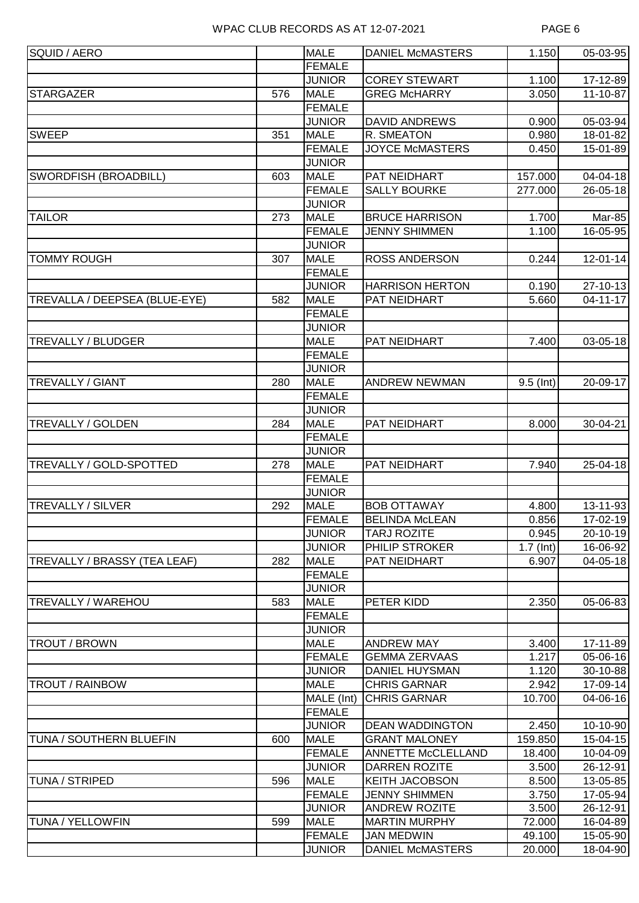| SQUID / AERO                   |     | <b>MALE</b>                    | <b>DANIEL McMASTERS</b> | 1.150                   | 05-03-95                  |
|--------------------------------|-----|--------------------------------|-------------------------|-------------------------|---------------------------|
|                                |     | <b>FEMALE</b>                  |                         |                         |                           |
|                                |     | <b>JUNIOR</b>                  | <b>COREY STEWART</b>    | 1.100                   | 17-12-89                  |
| <b>STARGAZER</b>               | 576 | <b>MALE</b>                    | <b>GREG McHARRY</b>     | 3.050                   | 11-10-87                  |
|                                |     | <b>FEMALE</b>                  |                         |                         |                           |
|                                |     | <b>JUNIOR</b>                  | <b>DAVID ANDREWS</b>    | 0.900                   | 05-03-94                  |
| <b>SWEEP</b>                   | 351 | <b>MALE</b>                    | R. SMEATON              | 0.980                   | 18-01-82                  |
|                                |     | <b>FEMALE</b>                  | <b>JOYCE McMASTERS</b>  | 0.450                   | 15-01-89                  |
|                                |     | <b>JUNIOR</b>                  |                         |                         |                           |
| SWORDFISH (BROADBILL)          | 603 | <b>MALE</b>                    | PAT NEIDHART            | 157.000                 | $04 - 04 - 18$            |
|                                |     | <b>FEMALE</b>                  | <b>SALLY BOURKE</b>     | 277.000                 | 26-05-18                  |
|                                |     | <b>JUNIOR</b>                  |                         |                         |                           |
| <b>TAILOR</b>                  | 273 | <b>MALE</b>                    | <b>BRUCE HARRISON</b>   | 1.700                   | Mar-85                    |
|                                |     | <b>FEMALE</b>                  | <b>JENNY SHIMMEN</b>    | 1.100                   | 16-05-95                  |
|                                |     | <b>JUNIOR</b>                  |                         |                         |                           |
| <b>TOMMY ROUGH</b>             | 307 | <b>MALE</b>                    | <b>ROSS ANDERSON</b>    | 0.244                   | 12-01-14                  |
|                                |     | <b>FEMALE</b>                  |                         |                         |                           |
|                                |     | <b>JUNIOR</b>                  | <b>HARRISON HERTON</b>  | 0.190                   | 27-10-13                  |
| TREVALLA / DEEPSEA (BLUE-EYE)  | 582 | <b>MALE</b>                    | PAT NEIDHART            | 5.660                   | 04-11-17                  |
|                                |     | <b>FEMALE</b>                  |                         |                         |                           |
|                                |     | <b>JUNIOR</b>                  |                         |                         |                           |
| <b>TREVALLY / BLUDGER</b>      |     | <b>MALE</b>                    | PAT NEIDHART            | 7.400                   | 03-05-18                  |
|                                |     | <b>FEMALE</b>                  |                         |                         |                           |
|                                |     | <b>JUNIOR</b>                  |                         |                         |                           |
| <b>TREVALLY / GIANT</b>        | 280 | <b>MALE</b>                    | <b>ANDREW NEWMAN</b>    | $9.5$ (Int)             | 20-09-17                  |
|                                |     | <b>FEMALE</b>                  |                         |                         |                           |
| <b>TREVALLY / GOLDEN</b>       |     | <b>JUNIOR</b><br><b>MALE</b>   | PAT NEIDHART            |                         |                           |
|                                | 284 |                                |                         | 8.000                   | 30-04-21                  |
|                                |     | <b>FEMALE</b><br><b>JUNIOR</b> |                         |                         |                           |
| TREVALLY / GOLD-SPOTTED        | 278 | <b>MALE</b>                    | PAT NEIDHART            | 7.940                   | 25-04-18                  |
|                                |     | <b>FEMALE</b>                  |                         |                         |                           |
|                                |     | <b>JUNIOR</b>                  |                         |                         |                           |
| <b>TREVALLY / SILVER</b>       | 292 | <b>MALE</b>                    | <b>BOB OTTAWAY</b>      | 4.800                   | $13 - 11 - 93$            |
|                                |     | <b>FEMALE</b>                  | <b>BELINDA McLEAN</b>   | 0.856                   | 17-02-19                  |
|                                |     | <b>JUNIOR</b>                  | <b>TARJ ROZITE</b>      | 0.945                   | 20-10-19                  |
|                                |     | <b>JUNIOR</b>                  | PHILIP STROKER          | $\overline{1}$ .7 (Int) | 16-06-92                  |
| TREVALLY / BRASSY (TEA LEAF)   | 282 | <b>MALE</b>                    | PAT NEIDHART            | 6.907                   | $04 - 05 - 18$            |
|                                |     | <b>FEMALE</b>                  |                         |                         |                           |
|                                |     | <b>JUNIOR</b>                  |                         |                         |                           |
| TREVALLY / WAREHOU             | 583 | <b>MALE</b>                    | PETER KIDD              | 2.350                   | 05-06-83                  |
|                                |     | <b>FEMALE</b>                  |                         |                         |                           |
|                                |     | <b>JUNIOR</b>                  |                         |                         |                           |
| <b>TROUT / BROWN</b>           |     | <b>MALE</b>                    | <b>ANDREW MAY</b>       | 3.400                   | 17-11-89                  |
|                                |     | <b>FEMALE</b>                  | <b>GEMMA ZERVAAS</b>    | 1.217                   | 05-06-16                  |
|                                |     | <b>JUNIOR</b>                  | <b>DANIEL HUYSMAN</b>   | 1.120                   | 30-10-88                  |
| <b>TROUT / RAINBOW</b>         |     | <b>MALE</b>                    | <b>CHRIS GARNAR</b>     | 2.942                   | 17-09-14                  |
|                                |     | MALE (Int)                     | <b>CHRIS GARNAR</b>     | 10.700                  | 04-06-16                  |
|                                |     | <b>FEMALE</b>                  |                         |                         |                           |
|                                |     | <b>JUNIOR</b>                  | <b>DEAN WADDINGTON</b>  | 2.450                   | 10-10-90                  |
| <b>TUNA / SOUTHERN BLUEFIN</b> | 600 | <b>MALE</b>                    | <b>GRANT MALONEY</b>    | 159.850                 | $\overline{15} - 04 - 15$ |
|                                |     | <b>FEMALE</b>                  | ANNETTE McCLELLAND      | 18.400                  | 10-04-09                  |
|                                |     | <b>JUNIOR</b>                  | <b>DARREN ROZITE</b>    | 3.500                   | 26-12-91                  |
| <b>TUNA / STRIPED</b>          | 596 | <b>MALE</b>                    | <b>KEITH JACOBSON</b>   | 8.500                   | 13-05-85                  |
|                                |     | <b>FEMALE</b>                  | <b>JENNY SHIMMEN</b>    | 3.750                   | 17-05-94                  |
|                                |     | <b>JUNIOR</b>                  | <b>ANDREW ROZITE</b>    | 3.500                   | 26-12-91                  |
| TUNA / YELLOWFIN               | 599 | <b>MALE</b>                    | <b>MARTIN MURPHY</b>    | 72.000                  | 16-04-89                  |
|                                |     | <b>FEMALE</b>                  | <b>JAN MEDWIN</b>       | 49.100                  | 15-05-90                  |
|                                |     | <b>JUNIOR</b>                  | <b>DANIEL McMASTERS</b> | 20.000                  | 18-04-90                  |
|                                |     |                                |                         |                         |                           |